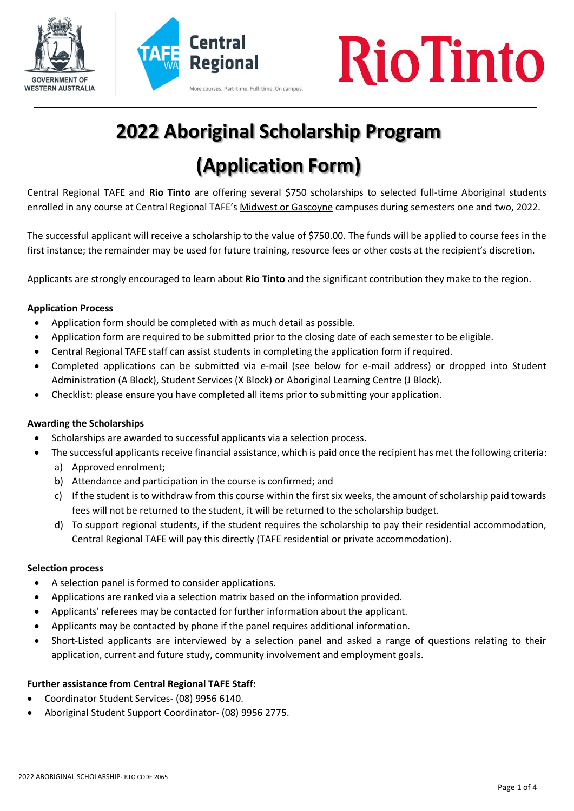





# **2022 Aboriginal Scholarship Program**

# **(Application Form)**

Central Regional TAFE and **Rio Tinto** are offering several \$750 scholarships to selected full-time Aboriginal students enrolled in any course at Central Regional TAFE's Midwest or Gascoyne campuses during semesters one and two, 2022.

The successful applicant will receive a scholarship to the value of \$750.00. The funds will be applied to course fees in the first instance; the remainder may be used for future training, resource fees or other costs at the recipient's discretion.

Applicants are strongly encouraged to learn about **Rio Tinto** and the significant contribution they make to the region.

#### **Application Process**

- Application form should be completed with as much detail as possible.
- Application form are required to be submitted prior to the closing date of each semester to be eligible.
- Central Regional TAFE staff can assist students in completing the application form if required.
- Completed applications can be submitted via e-mail (see below for e-mail address) or dropped into Student Administration (A Block), Student Services (X Block) or Aboriginal Learning Centre (J Block).
- Checklist: please ensure you have completed all items prior to submitting your application.

#### **Awarding the Scholarships**

- Scholarships are awarded to successful applicants via a selection process.
- The successful applicants receive financial assistance, which is paid once the recipient has met the following criteria:
	- a) Approved enrolment**;**
	- b) Attendance and participation in the course is confirmed; and
	- c) If the student is to withdraw from this course within the first six weeks, the amount of scholarship paid towards fees will not be returned to the student, it will be returned to the scholarship budget.
	- d) To support regional students, if the student requires the scholarship to pay their residential accommodation, Central Regional TAFE will pay this directly (TAFE residential or private accommodation).

#### **Selection process**

- A selection panel is formed to consider applications.
- Applications are ranked via a selection matrix based on the information provided.
- Applicants' referees may be contacted for further information about the applicant.
- Applicants may be contacted by phone if the panel requires additional information.
- Short-Listed applicants are interviewed by a selection panel and asked a range of questions relating to their application, current and future study, community involvement and employment goals.

### **Further assistance from Central Regional TAFE Staff:**

- Coordinator Student Services- (08) 9956 6140.
- Aboriginal Student Support Coordinator- (08) 9956 2775.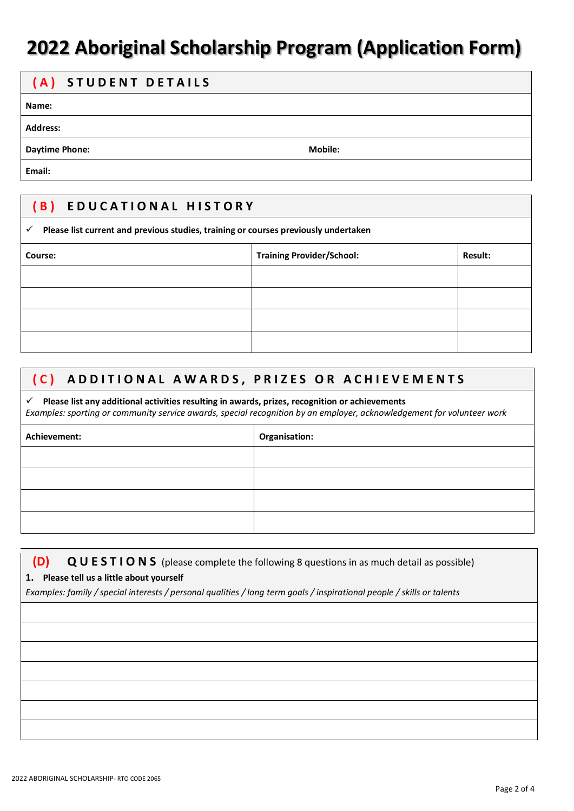# **2022 Aboriginal Scholarship Program (Application Form)**

# **( A ) S T U D E N T D E T A I L S**

**Name:**

**Address:**

**Daytime Phone: Mobile: Mobile: Mobile: Mobile: Mobile: Mobile: Mobile: Mobile: Mobile: Mobile: Mobile: Mobile: Mobile: Mobile: Mobile: Mobile: Mobile: Mobile: Mobile: Mobile: Mobi** 

**Email:**

## **( B ) E D U C A T I O N A L H I S T O R Y**

# **Please list current and previous studies, training or courses previously undertaken Course: Training Provider/School: Result:**

# **( C ) A D D I T I O N A L A W A R D S , P R I Z E S O R A C H I E V E M E N T S**

 **Please list any additional activities resulting in awards, prizes, recognition or achievements** *Examples: sporting or community service awards, special recognition by an employer, acknowledgement for volunteer work*

| Achievement: | Organisation: |
|--------------|---------------|
|              |               |
|              |               |
|              |               |
|              |               |

## **(D) Q U E S T I O N S** (please complete the following 8 questions in as much detail as possible)

#### **1. Please tell us a little about yourself**

*Examples: family / special interests / personal qualities / long term goals / inspirational people / skills or talents*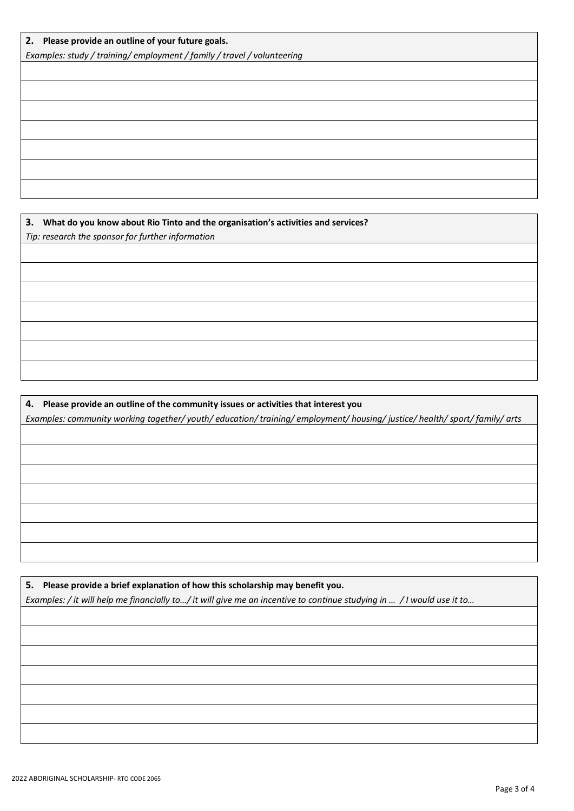*Examples: study / training/ employment / family / travel / volunteering*

**3. What do you know about Rio Tinto and the organisation's activities and services?**

*Tip: research the sponsor for further information*

**4. Please provide an outline of the community issues or activities that interest you** *Examples: community working together/ youth/ education/ training/ employment/ housing/ justice/ health/ sport/ family/ arts*

**5. Please provide a brief explanation of how this scholarship may benefit you.** *Examples: / it will help me financially to…/ it will give me an incentive to continue studying in … / I would use it to…*